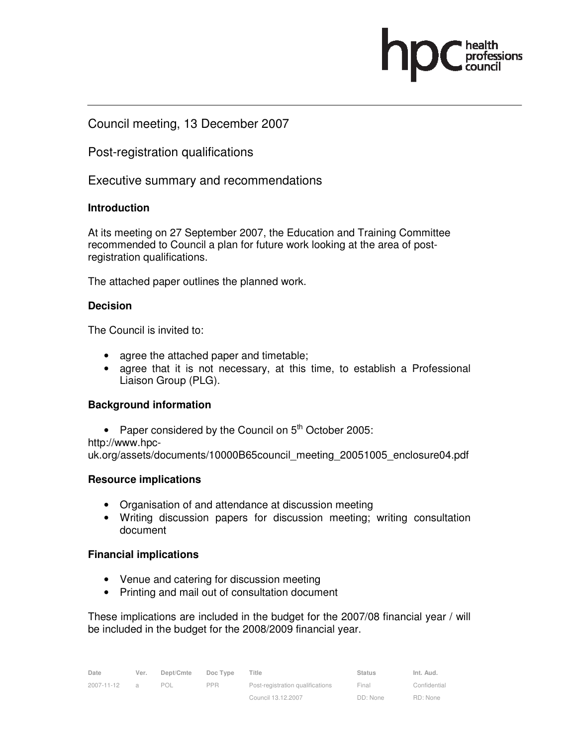# Council meeting, 13 December 2007

Post-registration qualifications

Executive summary and recommendations

# **Introduction**

At its meeting on 27 September 2007, the Education and Training Committee recommended to Council a plan for future work looking at the area of postregistration qualifications.

The attached paper outlines the planned work.

# **Decision**

The Council is invited to:

- agree the attached paper and timetable;
- agree that it is not necessary, at this time, to establish a Professional Liaison Group (PLG).

# **Background information**

- Paper considered by the Council on  $5<sup>th</sup>$  October 2005:
- http://www.hpc-

uk.org/assets/documents/10000B65council\_meeting\_20051005\_enclosure04.pdf

# **Resource implications**

- Organisation of and attendance at discussion meeting
- Writing discussion papers for discussion meeting; writing consultation document

# **Financial implications**

- Venue and catering for discussion meeting
- Printing and mail out of consultation document

These implications are included in the budget for the 2007/08 financial year / will be included in the budget for the 2008/2009 financial year.

| Date       | Ver. | Dept/Cmte | Doc Type   | Title                            | <b>Status</b> | Int. Aud.    |
|------------|------|-----------|------------|----------------------------------|---------------|--------------|
| 2007-11-12 |      | POL       | <b>PPR</b> | Post-registration qualifications | Final         | Confidential |
|            |      |           |            | Council 13.12.2007               | DD: None      | RD: None     |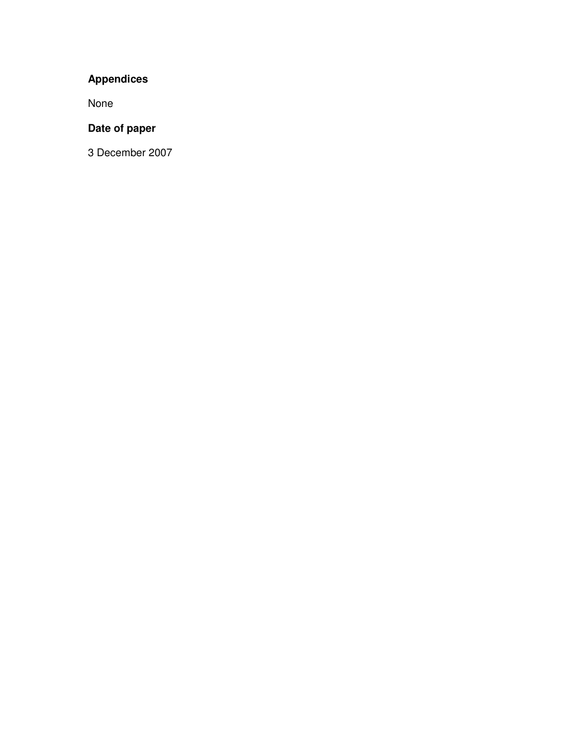# **Appendices**

None

# **Date of paper**

3 December 2007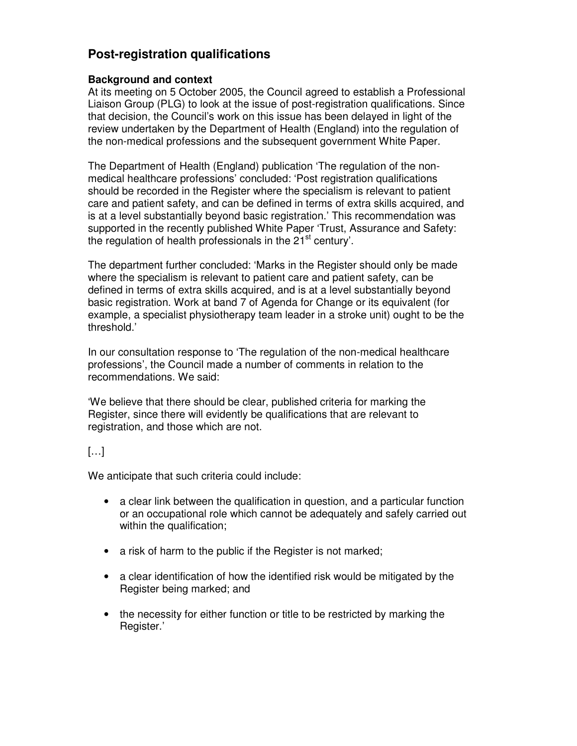# **Post-registration qualifications**

#### **Background and context**

At its meeting on 5 October 2005, the Council agreed to establish a Professional Liaison Group (PLG) to look at the issue of post-registration qualifications. Since that decision, the Council's work on this issue has been delayed in light of the review undertaken by the Department of Health (England) into the regulation of the non-medical professions and the subsequent government White Paper.

The Department of Health (England) publication 'The regulation of the nonmedical healthcare professions' concluded: 'Post registration qualifications should be recorded in the Register where the specialism is relevant to patient care and patient safety, and can be defined in terms of extra skills acquired, and is at a level substantially beyond basic registration.' This recommendation was supported in the recently published White Paper 'Trust, Assurance and Safety: the regulation of health professionals in the 21<sup>st</sup> century'.

The department further concluded: 'Marks in the Register should only be made where the specialism is relevant to patient care and patient safety, can be defined in terms of extra skills acquired, and is at a level substantially beyond basic registration. Work at band 7 of Agenda for Change or its equivalent (for example, a specialist physiotherapy team leader in a stroke unit) ought to be the threshold.'

In our consultation response to 'The regulation of the non-medical healthcare professions', the Council made a number of comments in relation to the recommendations. We said:

'We believe that there should be clear, published criteria for marking the Register, since there will evidently be qualifications that are relevant to registration, and those which are not.

# […]

We anticipate that such criteria could include:

- a clear link between the qualification in question, and a particular function or an occupational role which cannot be adequately and safely carried out within the qualification;
- a risk of harm to the public if the Register is not marked;
- a clear identification of how the identified risk would be mitigated by the Register being marked; and
- the necessity for either function or title to be restricted by marking the Register.'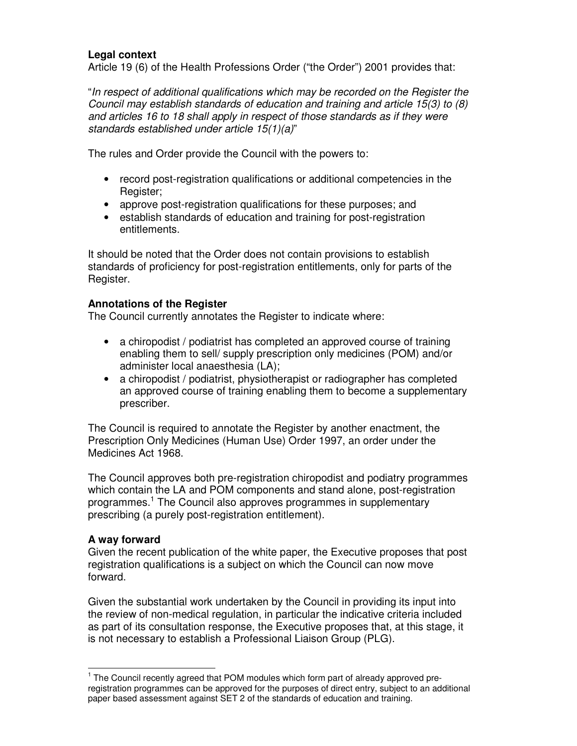#### **Legal context**

Article 19 (6) of the Health Professions Order ("the Order") 2001 provides that:

"In respect of additional qualifications which may be recorded on the Register the Council may establish standards of education and training and article 15(3) to (8) and articles 16 to 18 shall apply in respect of those standards as if they were standards established under article 15(1)(a)"

The rules and Order provide the Council with the powers to:

- record post-registration qualifications or additional competencies in the Register;
- approve post-registration qualifications for these purposes; and
- establish standards of education and training for post-registration entitlements.

It should be noted that the Order does not contain provisions to establish standards of proficiency for post-registration entitlements, only for parts of the Register.

#### **Annotations of the Register**

The Council currently annotates the Register to indicate where:

- a chiropodist / podiatrist has completed an approved course of training enabling them to sell/ supply prescription only medicines (POM) and/or administer local anaesthesia (LA);
- a chiropodist / podiatrist, physiotherapist or radiographer has completed an approved course of training enabling them to become a supplementary prescriber.

The Council is required to annotate the Register by another enactment, the Prescription Only Medicines (Human Use) Order 1997, an order under the Medicines Act 1968.

The Council approves both pre-registration chiropodist and podiatry programmes which contain the LA and POM components and stand alone, post-registration programmes.<sup>1</sup> The Council also approves programmes in supplementary prescribing (a purely post-registration entitlement).

#### **A way forward**

Given the recent publication of the white paper, the Executive proposes that post registration qualifications is a subject on which the Council can now move forward.

Given the substantial work undertaken by the Council in providing its input into the review of non-medical regulation, in particular the indicative criteria included as part of its consultation response, the Executive proposes that, at this stage, it is not necessary to establish a Professional Liaison Group (PLG).

 1 The Council recently agreed that POM modules which form part of already approved preregistration programmes can be approved for the purposes of direct entry, subject to an additional paper based assessment against SET 2 of the standards of education and training.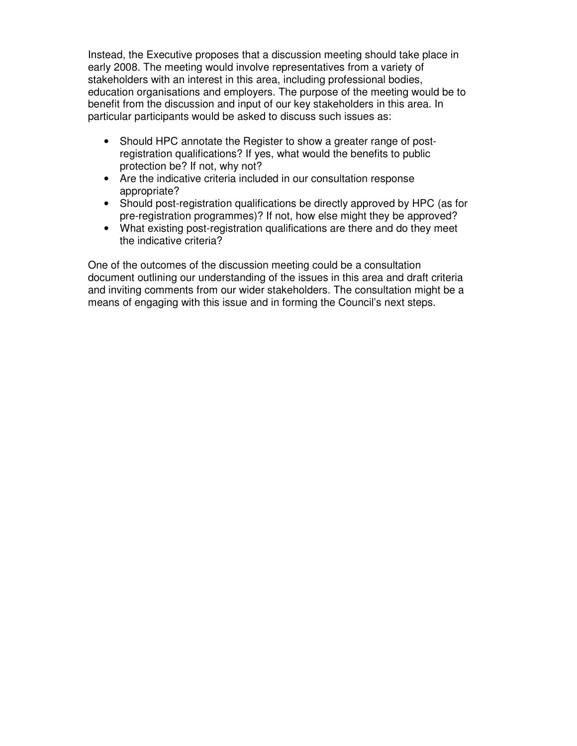Instead, the Executive proposes that a discussion meeting should take place in early 2008. The meeting would involve representatives from a variety of stakeholders with an interest in this area, including professional bodies, education organisations and employers. The purpose of the meeting would be to benefit from the discussion and input of our key stakeholders in this area. In particular participants would be asked to discuss such issues as:

- Should HPC annotate the Register to show a greater range of postregistration qualifications? If yes, what would the benefits to public protection be? If not, why not?
- Are the indicative criteria included in our consultation response appropriate?
- Should post-registration qualifications be directly approved by HPC (as for pre-registration programmes)? If not, how else might they be approved?
- What existing post-registration qualifications are there and do they meet the indicative criteria?

One of the outcomes of the discussion meeting could be a consultation document outlining our understanding of the issues in this area and draft criteria and inviting comments from our wider stakeholders. The consultation might be a means of engaging with this issue and in forming the Council's next steps.